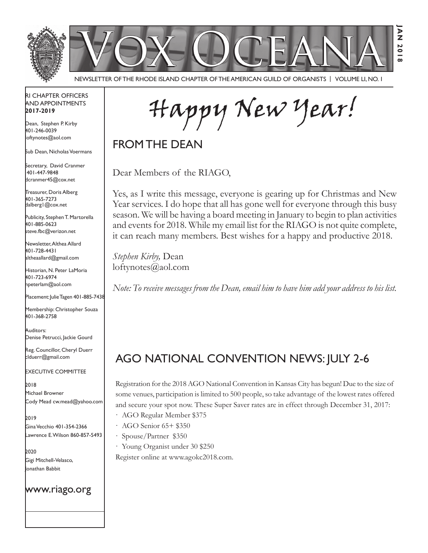

Newsletter of the Rhode Island Chapter of the American Guild of OrganistS | Volume LI, No. 1

### RI Chapter Officers and Appointments **2017-2019**

Dean, Stephen P. Kirby 401-246-0039 loftynotes@aol.com

Sub Dean, Nicholas Voermans

Secretary, David Cranmer 401-447-9848 dcranmer45@cox.net

Treasurer, Doris Alberg 401-365-7273 dalberg1@cox.net

I

Publicity, Stephen T. Martorella 401-885-0623 steve.fbc@verizon.net

Newsletter, Althea Allard 401-728-4431 altheaallard@gmail.com

Historian, N. Peter LaMoria 401-723-6974 npeterlam@aol.com

Placement: Julie Tagen 401-885-7438

Membership: Christopher Souza 401-368-2758

Auditors: Denise Petrucci, Jackie Gourd

Reg. Councillor, Cheryl Duerr clduerr@gmail.com

Executive Committee

2018 Michael Browner Cody Mead cw.mead@yahoo.com

2019 Gina Vecchio 401-354-2366 Lawrence E. Wilson 860-857-5493

2020 Gigi Mitchell-Velasco, Jonathan Babbit

### www.riago.org

Happy New Year!

FROM THE DEAN

Dear Members of the RIAGO,

Yes, as I write this message, everyone is gearing up for Christmas and New Year services. I do hope that all has gone well for everyone through this busy season. We will be having a board meeting in January to begin to plan activities and events for 2018. While my email list for the RIAGO is not quite complete, it can reach many members. Best wishes for a happy and productive 2018.

*Stephen Kirby,* Dean loftynotes@aol.com

*Note: To receive messages from the Dean, email him to have him add your address to his list.*

# AGO National Convention News: July 2-6

Registration for the 2018 AGO National Convention in Kansas City has begun! Due to the size of some venues, participation is limited to 500 people, so take advantage of the lowest rates offered and secure your spot now. These Super Saver rates are in effect through December 31, 2017:

- · AGO Regular Member \$375
- · AGO Senior 65+ \$350
- · Spouse/Partner \$350
- · Young Organist under 30 \$250

Register online at www.agokc2018.com.